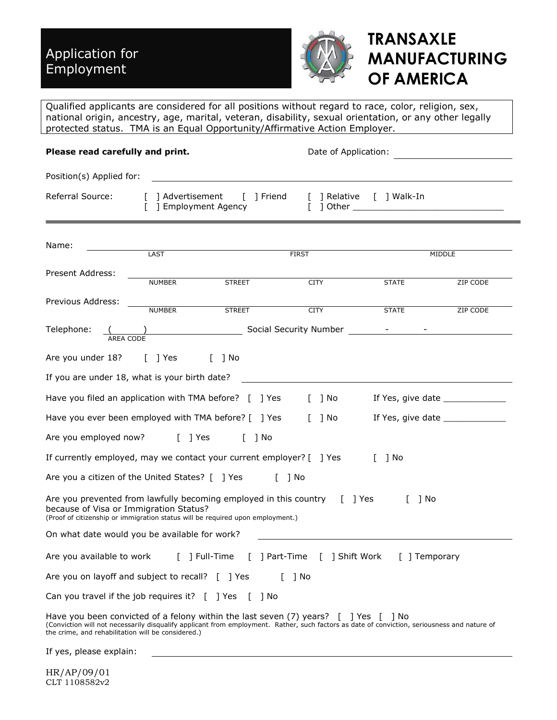

# **TRANSAXLE MANUFACTURING OF AMERICA**

Qualified applicants are considered for all positions without regard to race, color, religion, sex, national origin, ancestry, age, marital, veteran, disability, sexual orientation, or any other legally protected status. TMA is an Equal Opportunity/Affirmative Action Employer.

| Please read carefully and print.                                                          |               |                                                                                                                                                                                                                                           | Date of Application: |                          |                                  |  |  |  |  |  |
|-------------------------------------------------------------------------------------------|---------------|-------------------------------------------------------------------------------------------------------------------------------------------------------------------------------------------------------------------------------------------|----------------------|--------------------------|----------------------------------|--|--|--|--|--|
| Position(s) Applied for:                                                                  |               |                                                                                                                                                                                                                                           |                      |                          |                                  |  |  |  |  |  |
| Referral Source:                                                                          |               | [ ] Advertisement [ ] Friend<br>] Employment Agency                                                                                                                                                                                       |                      | [ ] Relative [ ] Walk-In |                                  |  |  |  |  |  |
| Name:                                                                                     | LAST          |                                                                                                                                                                                                                                           | <b>FIRST</b>         |                          | MIDDLE                           |  |  |  |  |  |
| Present Address:                                                                          | <b>NUMBER</b> | <b>STREET</b>                                                                                                                                                                                                                             | <b>CITY</b>          | <b>STATE</b>             | ZIP CODE                         |  |  |  |  |  |
| Previous Address:                                                                         | NUMBER        | <b>STREET</b>                                                                                                                                                                                                                             | <b>CITY</b>          | <b>STATE</b>             | ZIP CODE                         |  |  |  |  |  |
| Telephone:                                                                                |               |                                                                                                                                                                                                                                           |                      |                          |                                  |  |  |  |  |  |
| Are you under 18? [ ] Yes                                                                 |               | $\lceil$ $\rceil$ No                                                                                                                                                                                                                      |                      |                          |                                  |  |  |  |  |  |
| If you are under 18, what is your birth date?                                             |               |                                                                                                                                                                                                                                           |                      |                          |                                  |  |  |  |  |  |
|                                                                                           |               | Have you filed an application with TMA before? [ ] Yes                                                                                                                                                                                    | 1 No                 |                          | If Yes, give date ______________ |  |  |  |  |  |
|                                                                                           |               | Have you ever been employed with TMA before? [ ] Yes                                                                                                                                                                                      | [ ] No               |                          | If Yes, give date ______________ |  |  |  |  |  |
| Are you employed now? [ ] Yes [ ] No                                                      |               |                                                                                                                                                                                                                                           |                      |                          |                                  |  |  |  |  |  |
|                                                                                           |               | If currently employed, may we contact your current employer? [ ] Yes                                                                                                                                                                      |                      | $\lceil$ 1 No            |                                  |  |  |  |  |  |
| Are you a citizen of the United States? [ ] Yes                                           |               | $\lceil$ $\rceil$ No                                                                                                                                                                                                                      |                      |                          |                                  |  |  |  |  |  |
| because of Visa or Immigration Status?                                                    |               | Are you prevented from lawfully becoming employed in this country [ ] Yes<br>(Proof of citizenship or immigration status will be required upon employment.)                                                                               |                      | $\Gamma$<br>1 No         |                                  |  |  |  |  |  |
| On what date would you be available for work?                                             |               |                                                                                                                                                                                                                                           |                      |                          |                                  |  |  |  |  |  |
|                                                                                           |               | Are you available to work [ ] Full-Time [ ] Part-Time [ ] Shift Work [ ] Temporary                                                                                                                                                        |                      |                          |                                  |  |  |  |  |  |
| Are you on layoff and subject to recall? [ ] Yes                                          |               |                                                                                                                                                                                                                                           | 1 No                 |                          |                                  |  |  |  |  |  |
| Can you travel if the job requires it? $\lceil \cdot \rceil$ Yes $\lceil \cdot \rceil$ No |               |                                                                                                                                                                                                                                           |                      |                          |                                  |  |  |  |  |  |
| the crime, and rehabilitation will be considered.)                                        |               | Have you been convicted of a felony within the last seven $(7)$ years? $[$ ] Yes $[$ ] No<br>(Conviction will not necessarily disqualify applicant from employment. Rather, such factors as date of conviction, seriousness and nature of |                      |                          |                                  |  |  |  |  |  |
|                                                                                           |               |                                                                                                                                                                                                                                           |                      |                          |                                  |  |  |  |  |  |

If yes, please explain: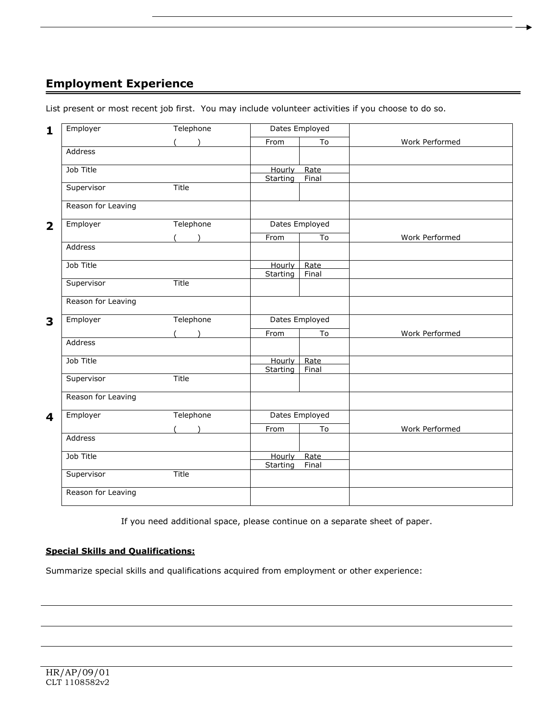## **Employment Experience**

List present or most recent job first. You may include volunteer activities if you choose to do so.

| $\mathbf{1}$            | Employer           | Telephone |          | Dates Employed |                |
|-------------------------|--------------------|-----------|----------|----------------|----------------|
|                         |                    |           | From     | To             | Work Performed |
|                         | Address            |           |          |                |                |
|                         | Job Title          |           | Hourly   | Rate           |                |
|                         |                    |           | Starting | Final          |                |
|                         | Supervisor         | Title     |          |                |                |
|                         | Reason for Leaving |           |          |                |                |
| $\overline{\mathbf{2}}$ | Employer           | Telephone |          | Dates Employed |                |
|                         |                    | $($ $)$   | From     | To             | Work Performed |
|                         | Address            |           |          |                |                |
|                         | Job Title          |           | Hourly   | Rate           |                |
|                         |                    |           | Starting | Final          |                |
|                         | Supervisor         | Title     |          |                |                |
|                         | Reason for Leaving |           |          |                |                |
| 3                       | Employer           | Telephone |          | Dates Employed |                |
|                         |                    | (         | From     | To             | Work Performed |
|                         | Address            |           |          |                |                |
|                         | Job Title          |           | Hourly   | Rate           |                |
|                         |                    |           | Starting | Final          |                |
|                         | Supervisor         | Title     |          |                |                |
|                         | Reason for Leaving |           |          |                |                |
| $\boldsymbol{4}$        | Employer           | Telephone |          | Dates Employed |                |
|                         |                    |           | From     | To             | Work Performed |
|                         | Address            |           |          |                |                |
|                         | Job Title          |           | Hourly   | Rate           |                |
|                         |                    |           | Starting | Final          |                |
|                         | Supervisor         | Title     |          |                |                |
|                         |                    |           |          |                |                |
|                         | Reason for Leaving |           |          |                |                |

If you need additional space, please continue on a separate sheet of paper.

#### **Special Skills and Qualifications:**

Summarize special skills and qualifications acquired from employment or other experience: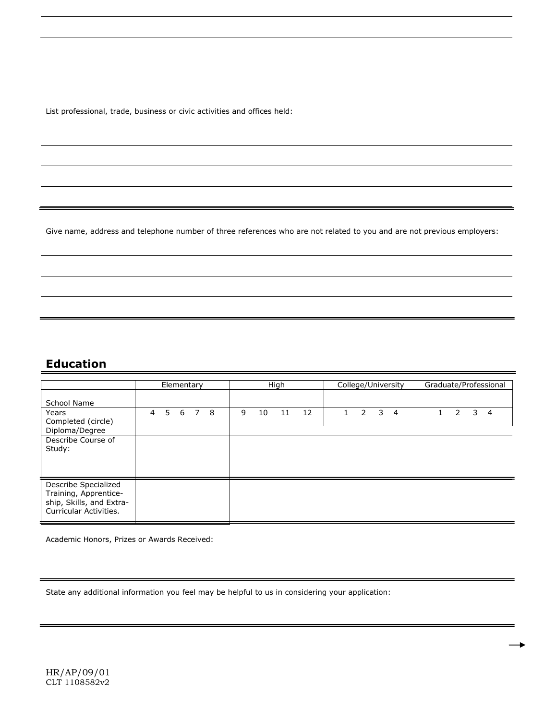List professional, trade, business or civic activities and offices held:

Give name, address and telephone number of three references who are not related to you and are not previous employers:

### **Education**

|                                                                                                     | Elementary |   |   |                |   | High |    |    |    | College/University | Graduate/Professional |   |                |  |               |   |   |
|-----------------------------------------------------------------------------------------------------|------------|---|---|----------------|---|------|----|----|----|--------------------|-----------------------|---|----------------|--|---------------|---|---|
| School Name                                                                                         |            |   |   |                |   |      |    |    |    |                    |                       |   |                |  |               |   |   |
| Years<br>Completed (circle)                                                                         | 4          | 5 | 6 | $\overline{7}$ | 8 | 9    | 10 | 11 | 12 |                    | $\mathcal{P}$         | 3 | $\overline{4}$ |  | $\mathcal{P}$ | 3 | 4 |
| Diploma/Degree                                                                                      |            |   |   |                |   |      |    |    |    |                    |                       |   |                |  |               |   |   |
| Describe Course of<br>Study:                                                                        |            |   |   |                |   |      |    |    |    |                    |                       |   |                |  |               |   |   |
| Describe Specialized<br>Training, Apprentice-<br>ship, Skills, and Extra-<br>Curricular Activities. |            |   |   |                |   |      |    |    |    |                    |                       |   |                |  |               |   |   |

Academic Honors, Prizes or Awards Received:

State any additional information you feel may be helpful to us in considering your application: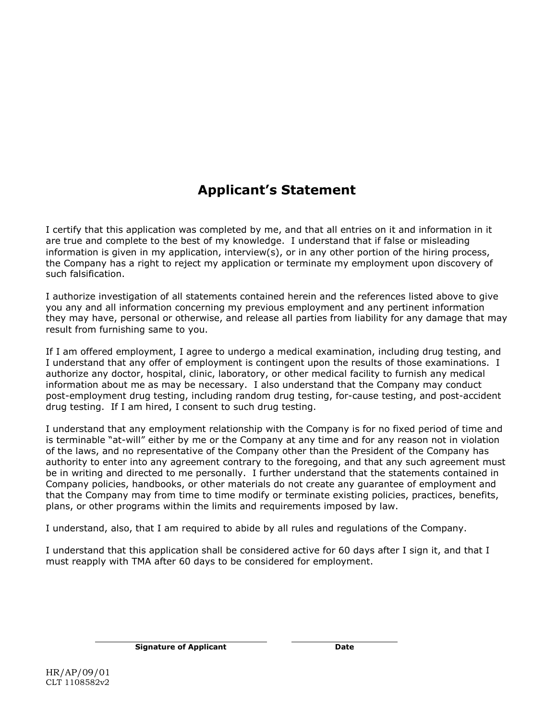## **Applicant's Statement**

I certify that this application was completed by me, and that all entries on it and information in it are true and complete to the best of my knowledge. I understand that if false or misleading information is given in my application, interview(s), or in any other portion of the hiring process, the Company has a right to reject my application or terminate my employment upon discovery of such falsification.

I authorize investigation of all statements contained herein and the references listed above to give you any and all information concerning my previous employment and any pertinent information they may have, personal or otherwise, and release all parties from liability for any damage that may result from furnishing same to you.

If I am offered employment, I agree to undergo a medical examination, including drug testing, and I understand that any offer of employment is contingent upon the results of those examinations. I authorize any doctor, hospital, clinic, laboratory, or other medical facility to furnish any medical information about me as may be necessary. I also understand that the Company may conduct post-employment drug testing, including random drug testing, for-cause testing, and post-accident drug testing. If I am hired, I consent to such drug testing.

I understand that any employment relationship with the Company is for no fixed period of time and is terminable "at-will" either by me or the Company at any time and for any reason not in violation of the laws, and no representative of the Company other than the President of the Company has authority to enter into any agreement contrary to the foregoing, and that any such agreement must be in writing and directed to me personally. I further understand that the statements contained in Company policies, handbooks, or other materials do not create any guarantee of employment and that the Company may from time to time modify or terminate existing policies, practices, benefits, plans, or other programs within the limits and requirements imposed by law.

I understand, also, that I am required to abide by all rules and regulations of the Company.

I understand that this application shall be considered active for 60 days after I sign it, and that I must reapply with TMA after 60 days to be considered for employment.

**Signature of Applicant Date**